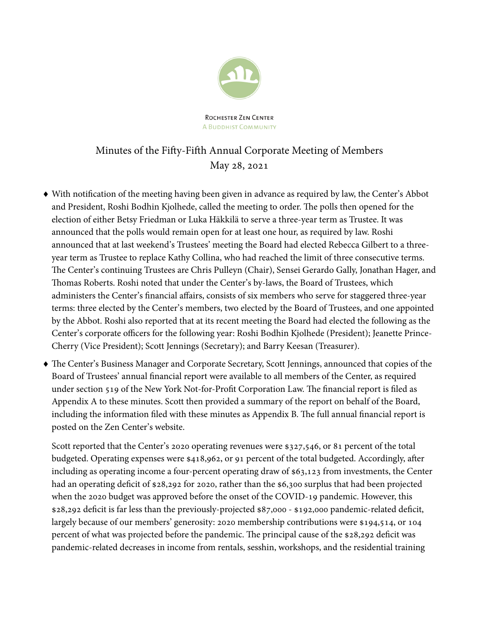

ROCHESTER ZEN CENTER **A BUDDHIST COMMUNITY** 

# Minutes of the Fifty-Fifth Annual Corporate Meeting of Members May 28, 2021

- With notification of the meeting having been given in advance as required by law, the Center's Abbot and President, Roshi Bodhin Kjolhede, called the meeting to order. The polls then opened for the election of either Betsy Friedman or Luka Häkkilä to serve a three-year term as Trustee. It was announced that the polls would remain open for at least one hour, as required by law. Roshi announced that at last weekend's Trustees' meeting the Board had elected Rebecca Gilbert to a threeyear term as Trustee to replace Kathy Collina, who had reached the limit of three consecutive terms. The Center's continuing Trustees are Chris Pulleyn (Chair), Sensei Gerardo Gally, Jonathan Hager, and Thomas Roberts. Roshi noted that under the Center's by-laws, the Board of Trustees, which administers the Center's financial affairs, consists of six members who serve for staggered three-year terms: three elected by the Center's members, two elected by the Board of Trustees, and one appointed by the Abbot. Roshi also reported that at its recent meeting the Board had elected the following as the Center's corporate officers for the following year: Roshi Bodhin Kjolhede (President); Jeanette Prince-Cherry (Vice President); Scott Jennings (Secretary); and Barry Keesan (Treasurer).
- The Center's Business Manager and Corporate Secretary, Scott Jennings, announced that copies of the Board of Trustees' annual financial report were available to all members of the Center, as required under section 519 of the New York Not-for-Profit Corporation Law. The financial report is filed as Appendix A to these minutes. Scott then provided a summary of the report on behalf of the Board, including the information filed with these minutes as Appendix B. The full annual financial report is posted on the Zen Center's website.

Scott reported that the Center's 2020 operating revenues were \$327,546, or 81 percent of the total budgeted. Operating expenses were \$418,962, or 91 percent of the total budgeted. Accordingly, after including as operating income a four-percent operating draw of \$63,123 from investments, the Center had an operating deficit of \$28,292 for 2020, rather than the \$6,300 surplus that had been projected when the 2020 budget was approved before the onset of the COVID-19 pandemic. However, this \$28,292 deficit is far less than the previously-projected \$87,000 - \$192,000 pandemic-related deficit, largely because of our members' generosity: 2020 membership contributions were \$194,514, or 104 percent of what was projected before the pandemic. The principal cause of the \$28,292 deficit was pandemic-related decreases in income from rentals, sesshin, workshops, and the residential training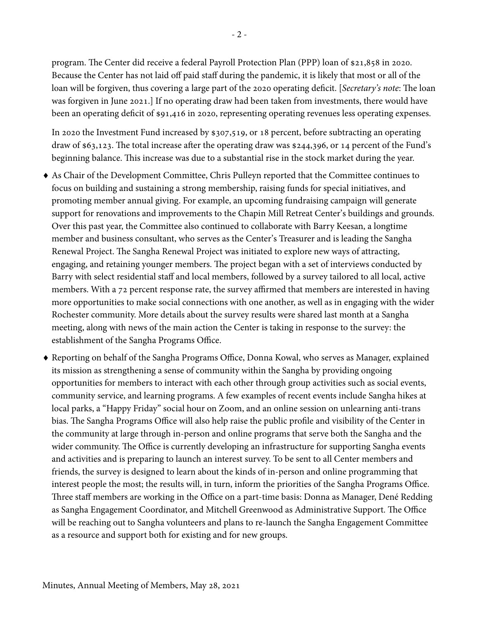program. The Center did receive a federal Payroll Protection Plan (PPP) loan of \$21,858 in 2020. Because the Center has not laid off paid staff during the pandemic, it is likely that most or all of the loan will be forgiven, thus covering a large part of the 2020 operating deficit. [Secretary's note: The loan was forgiven in June 2021.] If no operating draw had been taken from investments, there would have been an operating deficit of \$91,416 in 2020, representing operating revenues less operating expenses.

In 2020 the Investment Fund increased by \$307,519, or 18 percent, before subtracting an operating draw of \$63,123. The total increase after the operating draw was \$244,396, or 14 percent of the Fund's beginning balance. This increase was due to a substantial rise in the stock market during the year.

- As Chair of the Development Committee, Chris Pulleyn reported that the Committee continues to focus on building and sustaining a strong membership, raising funds for special initiatives, and promoting member annual giving. For example, an upcoming fundraising campaign will generate support for renovations and improvements to the Chapin Mill Retreat Center's buildings and grounds. Over this past year, the Committee also continued to collaborate with Barry Keesan, a longtime member and business consultant, who serves as the Center's Treasurer and is leading the Sangha Renewal Project. The Sangha Renewal Project was initiated to explore new ways of attracting, engaging, and retaining younger members. The project began with a set of interviews conducted by Barry with select residential staff and local members, followed by a survey tailored to all local, active members. With a 72 percent response rate, the survey affirmed that members are interested in having more opportunities to make social connections with one another, as well as in engaging with the wider Rochester community. More details about the survey results were shared last month at a Sangha meeting, along with news of the main action the Center is taking in response to the survey: the establishment of the Sangha Programs Office.
- Reporting on behalf of the Sangha Programs Office, Donna Kowal, who serves as Manager, explained its mission as strengthening a sense of community within the Sangha by providing ongoing opportunities for members to interact with each other through group activities such as social events, community service, and learning programs. A few examples of recent events include Sangha hikes at local parks, a "Happy Friday" social hour on Zoom, and an online session on unlearning anti-trans bias. The Sangha Programs Office will also help raise the public profile and visibility of the Center in the community at large through in-person and online programs that serve both the Sangha and the wider community. The Office is currently developing an infrastructure for supporting Sangha events and activities and is preparing to launch an interest survey. To be sent to all Center members and friends, the survey is designed to learn about the kinds of in-person and online programming that interest people the most; the results will, in turn, inform the priorities of the Sangha Programs Office. Three staff members are working in the Office on a part-time basis: Donna as Manager, Dené Redding as Sangha Engagement Coordinator, and Mitchell Greenwood as Administrative Support. The Office will be reaching out to Sangha volunteers and plans to re-launch the Sangha Engagement Committee as a resource and support both for existing and for new groups.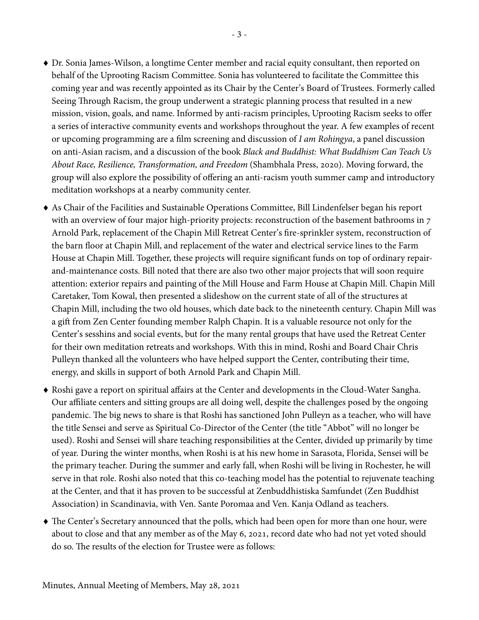- Dr. Sonia James-Wilson, a longtime Center member and racial equity consultant, then reported on behalf of the Uprooting Racism Committee. Sonia has volunteered to facilitate the Committee this coming year and was recently appointed as its Chair by the Center's Board of Trustees. Formerly called Seeing Through Racism, the group underwent a strategic planning process that resulted in a new mission, vision, goals, and name. Informed by anti-racism principles, Uprooting Racism seeks to offer a series of interactive community events and workshops throughout the year. A few examples of recent
- or upcoming programming are a film screening and discussion of I am Rohingya, a panel discussion on anti-Asian racism, and a discussion of the book Black and Buddhist: What Buddhism Can Teach Us About Race, Resilience, Transformation, and Freedom (Shambhala Press, 2020). Moving forward, the group will also explore the possibility of offering an anti-racism youth summer camp and introductory meditation workshops at a nearby community center.
- As Chair of the Facilities and Sustainable Operations Committee, Bill Lindenfelser began his report with an overview of four major high-priority projects: reconstruction of the basement bathrooms in 7 Arnold Park, replacement of the Chapin Mill Retreat Center's fire-sprinkler system, reconstruction of the barn floor at Chapin Mill, and replacement of the water and electrical service lines to the Farm House at Chapin Mill. Together, these projects will require significant funds on top of ordinary repairand-maintenance costs. Bill noted that there are also two other major projects that will soon require attention: exterior repairs and painting of the Mill House and Farm House at Chapin Mill. Chapin Mill Caretaker, Tom Kowal, then presented a slideshow on the current state of all of the structures at Chapin Mill, including the two old houses, which date back to the nineteenth century. Chapin Mill was a gift from Zen Center founding member Ralph Chapin. It is a valuable resource not only for the Center's sesshins and social events, but for the many rental groups that have used the Retreat Center for their own meditation retreats and workshops. With this in mind, Roshi and Board Chair Chris Pulleyn thanked all the volunteers who have helped support the Center, contributing their time, energy, and skills in support of both Arnold Park and Chapin Mill.
- Roshi gave a report on spiritual affairs at the Center and developments in the Cloud-Water Sangha. Our affiliate centers and sitting groups are all doing well, despite the challenges posed by the ongoing pandemic. The big news to share is that Roshi has sanctioned John Pulleyn as a teacher, who will have the title Sensei and serve as Spiritual Co-Director of the Center (the title "Abbot" will no longer be used). Roshi and Sensei will share teaching responsibilities at the Center, divided up primarily by time of year. During the winter months, when Roshi is at his new home in Sarasota, Florida, Sensei will be the primary teacher. During the summer and early fall, when Roshi will be living in Rochester, he will serve in that role. Roshi also noted that this co-teaching model has the potential to rejuvenate teaching at the Center, and that it has proven to be successful at Zenbuddhistiska Samfundet (Zen Buddhist Association) in Scandinavia, with Ven. Sante Poromaa and Ven. Kanja Odland as teachers.
- The Center's Secretary announced that the polls, which had been open for more than one hour, were about to close and that any member as of the May 6, 2021, record date who had not yet voted should do so. The results of the election for Trustee were as follows: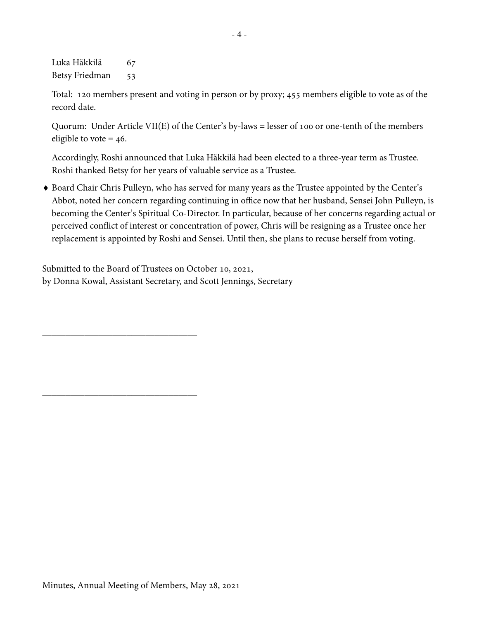Luka Häkkilä 67 Betsy Friedman 53

Total: 120 members present and voting in person or by proxy; 455 members eligible to vote as of the record date.

Quorum: Under Article VII(E) of the Center's by-laws = lesser of 100 or one-tenth of the members eligible to vote  $= 46$ .

Accordingly, Roshi announced that Luka Häkkilä had been elected to a three-year term as Trustee. Roshi thanked Betsy for her years of valuable service as a Trustee.

 Board Chair Chris Pulleyn, who has served for many years as the Trustee appointed by the Center's Abbot, noted her concern regarding continuing in office now that her husband, Sensei John Pulleyn, is becoming the Center's Spiritual Co-Director. In particular, because of her concerns regarding actual or perceived conflict of interest or concentration of power, Chris will be resigning as a Trustee once her replacement is appointed by Roshi and Sensei. Until then, she plans to recuse herself from voting.

Submitted to the Board of Trustees on October 10, 2021, by Donna Kowal, Assistant Secretary, and Scott Jennings, Secretary

 $\_$ 

 $\_$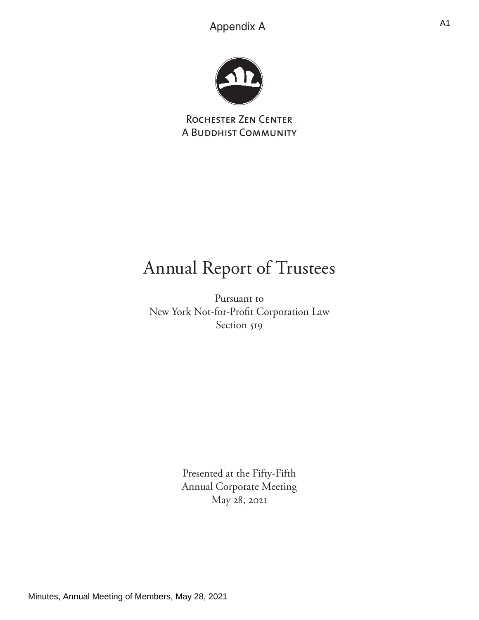

Rochester Zen Center A Buddhist Community

# Annual Report of Trustees

Pursuant to New York Not-for-Profit Corporation Law Section 519

> Presented at the Fifty-Fifth Annual Corporate Meeting May 28, 2021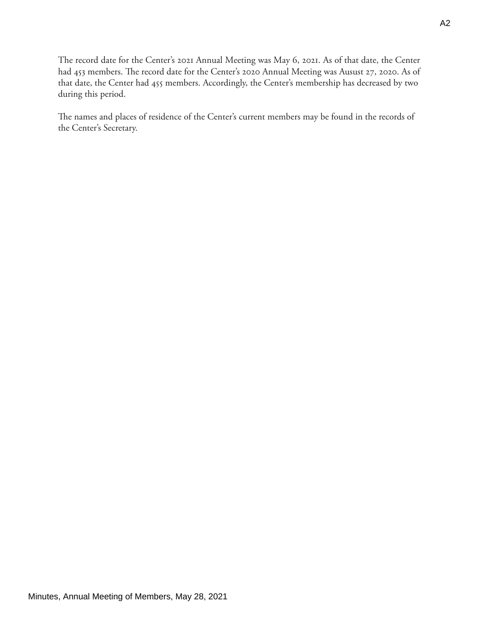The record date for the Center's 2021 Annual Meeting was May 6, 2021. As of that date, the Center had 453 members. The record date for the Center's 2020 Annual Meeting was Ausust 27, 2020. As of that date, the Center had 455 members. Accordingly, the Center's membership has decreased by two during this period.

The names and places of residence of the Center's current members may be found in the records of the Center's Secretary.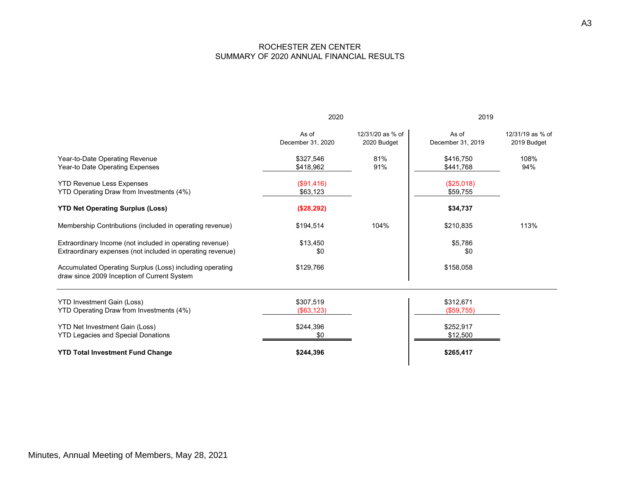## ROCHESTER ZEN CENTER SUMMARY OF 2020 ANNUAL FINANCIAL RESULTS

|                                                                                                                        | 2020                       |                                 | 2019                       |                                 |
|------------------------------------------------------------------------------------------------------------------------|----------------------------|---------------------------------|----------------------------|---------------------------------|
|                                                                                                                        | As of<br>December 31, 2020 | 12/31/20 as % of<br>2020 Budget | As of<br>December 31, 2019 | 12/31/19 as % of<br>2019 Budget |
| Year-to-Date Operating Revenue<br>Year-to Date Operating Expenses                                                      | \$327,546<br>\$418,962     | 81%<br>91%                      | \$416,750<br>\$441,768     | 108%<br>94%                     |
| <b>YTD Revenue Less Expenses</b><br>YTD Operating Draw from Investments (4%)                                           | (\$91,416)<br>\$63,123     |                                 | (\$25,018)<br>\$59,755     |                                 |
| <b>YTD Net Operating Surplus (Loss)</b>                                                                                | (\$28,292)                 |                                 | \$34,737                   |                                 |
| Membership Contributions (included in operating revenue)                                                               | \$194,514                  | 104%                            | \$210,835                  | 113%                            |
| Extraordinary Income (not included in operating revenue)<br>Extraordinary expenses (not included in operating revenue) | \$13,450<br>\$0            |                                 | \$5,786<br>\$0             |                                 |
| Accumulated Operating Surplus (Loss) including operating<br>draw since 2009 Inception of Current System                | \$129,766                  |                                 | \$158,058                  |                                 |
| <b>YTD Investment Gain (Loss)</b><br>YTD Operating Draw from Investments (4%)                                          | \$307,519<br>( \$63, 123)  |                                 | \$312,671<br>(\$59,755)    |                                 |
| YTD Net Investment Gain (Loss)<br><b>YTD Legacies and Special Donations</b>                                            | \$244,396<br>\$0           |                                 | \$252,917<br>\$12,500      |                                 |
| <b>YTD Total Investment Fund Change</b>                                                                                | \$244,396                  |                                 | \$265,417                  |                                 |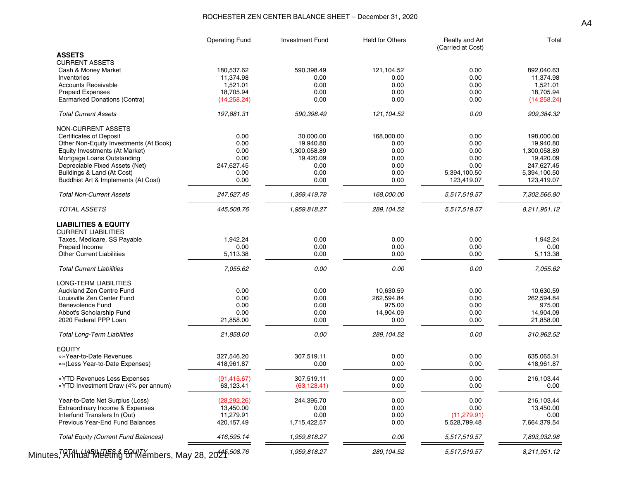### ROCHESTER ZEN CENTER BALANCE SHEET – December 31, 2020

|                                                                                   | <b>Operating Fund</b> | <b>Investment Fund</b> | <b>Held for Others</b> | Realty and Art<br>(Carried at Cost) | Total                      |
|-----------------------------------------------------------------------------------|-----------------------|------------------------|------------------------|-------------------------------------|----------------------------|
| <b>ASSETS</b>                                                                     |                       |                        |                        |                                     |                            |
| <b>CURRENT ASSETS</b>                                                             |                       |                        |                        |                                     |                            |
| Cash & Money Market                                                               | 180,537.62            | 590,398.49             | 121,104.52             | 0.00                                | 892,040.63                 |
| Inventories                                                                       | 11,374.98             | 0.00                   | 0.00                   | 0.00                                | 11,374.98                  |
| <b>Accounts Receivable</b>                                                        | 1,521.01              | 0.00                   | 0.00                   | 0.00                                | 1,521.01                   |
| <b>Prepaid Expenses</b>                                                           | 18,705.94             | 0.00                   | 0.00                   | 0.00                                | 18,705.94                  |
| Earmarked Donations (Contra)                                                      | (14, 258.24)          | 0.00                   | 0.00                   | 0.00                                | (14, 258.24)               |
| <b>Total Current Assets</b>                                                       | 197,881.31            | 590,398.49             | 121,104.52             | 0.00                                | 909,384.32                 |
| NON-CURRENT ASSETS                                                                |                       |                        |                        |                                     |                            |
| <b>Certificates of Deposit</b>                                                    | 0.00                  | 30,000.00              | 168,000.00             | 0.00                                | 198,000.00                 |
| Other Non-Equity Investments (At Book)                                            | 0.00                  | 19,940.80              | 0.00                   | 0.00                                | 19,940.80                  |
| Equity Investments (At Market)                                                    | 0.00                  | 1,300,058.89           | 0.00                   | 0.00                                | 1,300,058.89               |
| Mortgage Loans Outstanding                                                        | 0.00                  | 19,420.09              | 0.00                   | 0.00                                | 19,420.09                  |
| Depreciable Fixed Assets (Net)                                                    | 247,627.45            | 0.00                   | 0.00                   | 0.00                                | 247,627.45                 |
|                                                                                   |                       | 0.00                   | 0.00                   |                                     |                            |
| Buildings & Land (At Cost)<br>Buddhist Art & Implements (At Cost)                 | 0.00<br>0.00          | 0.00                   | 0.00                   | 5,394,100.50<br>123,419.07          | 5,394,100.50<br>123,419.07 |
| <b>Total Non-Current Assets</b>                                                   | 247,627.45            | 1,369,419.78           | 168,000.00             | 5,517,519.57                        | 7,302,566.80               |
|                                                                                   |                       |                        |                        |                                     |                            |
| <b>TOTAL ASSETS</b>                                                               | 445,508.76            | 1,959,818.27           | 289,104.52             | 5,517,519.57                        | 8,211,951.12               |
| <b>LIABILITIES &amp; EQUITY</b><br><b>CURRENT LIABILITIES</b>                     |                       |                        |                        |                                     |                            |
| Taxes, Medicare, SS Payable                                                       | 1,942.24              | 0.00                   | 0.00                   | 0.00                                | 1,942.24                   |
| Prepaid Income                                                                    | 0.00                  | 0.00                   | 0.00                   | 0.00                                | 0.00                       |
| <b>Other Current Liabilities</b>                                                  | 5,113.38              | 0.00                   | 0.00                   | 0.00                                | 5,113.38                   |
| <b>Total Current Liabilities</b>                                                  | 7,055.62              | 0.00                   | 0.00                   | 0.00                                | 7,055.62                   |
|                                                                                   |                       |                        |                        |                                     |                            |
| LONG-TERM LIABILITIES                                                             |                       |                        |                        |                                     |                            |
| Auckland Zen Centre Fund                                                          | 0.00                  | 0.00                   | 10,630.59              | 0.00                                | 10,630.59                  |
| Louisville Zen Center Fund                                                        | 0.00                  | 0.00                   | 262,594.84             | 0.00                                | 262,594.84                 |
| <b>Benevolence Fund</b>                                                           | 0.00                  | 0.00                   | 975.00                 | 0.00                                | 975.00                     |
| Abbot's Scholarship Fund                                                          | 0.00                  | 0.00                   | 14,904.09              | 0.00                                | 14,904.09                  |
| 2020 Federal PPP Loan                                                             | 21,858.00             | 0.00                   | 0.00                   | 0.00                                | 21,858.00                  |
| <b>Total Long-Term Liabilities</b>                                                | 21,858.00             | 0.00                   | 289,104.52             | 0.00                                | 310,962.52                 |
| <b>EQUITY</b>                                                                     |                       |                        |                        |                                     |                            |
| »»Year-to-Date Revenues                                                           | 327,546.20            | 307,519.11             | 0.00                   | 0.00                                | 635,065.31                 |
| »»(Less Year-to-Date Expenses)                                                    | 418,961.87            | 0.00                   | 0.00                   | 0.00                                | 418,961.87                 |
| » YTD Revenues Less Expenses                                                      | (91, 415.67)          | 307,519.11             | 0.00                   | 0.00                                | 216,103.44                 |
| »YTD Investment Draw (4% per annum)                                               | 63,123.41             | (63, 123.41)           | 0.00                   | 0.00                                | 0.00                       |
| Year-to-Date Net Surplus (Loss)                                                   | (28, 292.26)          | 244,395.70             | 0.00                   | 0.00                                | 216,103.44                 |
| Extraordinary Income & Expenses                                                   | 13,450.00             | 0.00                   | 0.00                   | 0.00                                | 13,450.00                  |
| Interfund Transfers In (Out)                                                      | 11,279.91             | 0.00                   | 0.00                   | (11, 279.91)                        | 0.00                       |
| Previous Year-End Fund Balances                                                   | 420,157.49            | 1,715,422.57           | 0.00                   | 5,528,799.48                        | 7,664,379.54               |
| <b>Total Equity (Current Fund Balances)</b>                                       | 416,595.14            | 1,959,818.27           | 0.00                   | 5,517,519.57                        | 7,893,932.98               |
| Minutes, <sup>7</sup> AhhulahMeleting 50 Members, May 28, 2021 <sup>,508.76</sup> |                       | 1,959,818.27           | 289,104.52             | 5,517,519.57                        | 8,211,951.12               |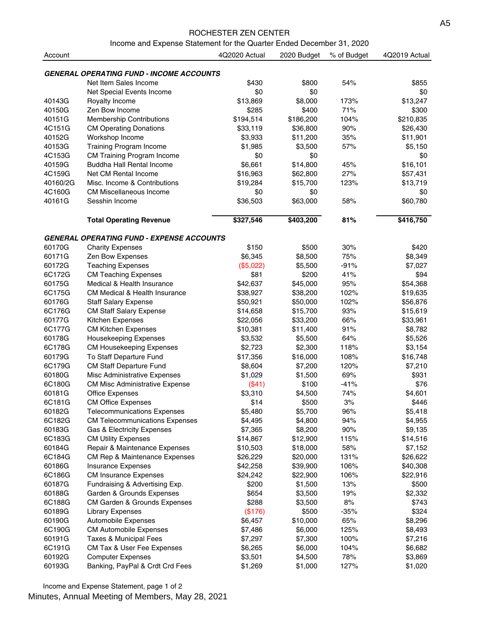#### ROCHESTER ZEN CENTER

Income and Expense Statement for the Quarter Ended December 31, 2020

| Account  |                                                  | 4Q2020 Actual | 2020 Budget | % of Budget | 4Q2019 Actual |
|----------|--------------------------------------------------|---------------|-------------|-------------|---------------|
|          |                                                  |               |             |             |               |
|          | <b>GENERAL OPERATING FUND - INCOME ACCOUNTS</b>  |               |             |             |               |
|          | Net Item Sales Income                            | \$430         | \$800       | 54%         | \$855         |
|          | Net Special Events Income                        | \$0           | \$0         |             | \$0           |
| 40143G   | Royalty Income                                   | \$13,869      | \$8,000     | 173%        | \$13,247      |
| 40150G   | Zen Bow Income                                   | \$285         | \$400       | 71%         | \$300         |
| 40151G   | <b>Membership Contributions</b>                  | \$194,514     | \$186,200   | 104%        | \$210,835     |
| 4C151G   | <b>CM Operating Donations</b>                    | \$33,119      | \$36,800    | 90%         | \$26,430      |
| 40152G   | Workshop Income                                  | \$3,933       | \$11,200    | 35%         | \$11,901      |
| 40153G   | <b>Training Program Income</b>                   | \$1,985       | \$3,500     | 57%         | \$5,150       |
| 4C153G   | CM Training Program Income                       | \$0           | \$0         |             | \$0           |
| 40159G   | Buddha Hall Rental Income                        | \$6,661       | \$14,800    | 45%         | \$16,101      |
| 4C159G   | Net CM Rental Income                             | \$16,963      | \$62,800    | 27%         | \$57,431      |
| 40160/2G | Misc. Income & Contributions                     | \$19,284      | \$15,700    | 123%        | \$13,719      |
| 4C160G   | <b>CM Miscellaneous Income</b>                   | \$0           | \$0         |             | \$0           |
| 40161G   | Sesshin Income                                   | \$36,503      | \$63,000    | 58%         | \$60,780      |
|          | <b>Total Operating Revenue</b>                   | \$327,546     | \$403,200   | 81%         | \$416,750     |
|          | <b>GENERAL OPERATING FUND - EXPENSE ACCOUNTS</b> |               |             |             |               |
| 60170G   | <b>Charity Expenses</b>                          | \$150         | \$500       | 30%         | \$420         |
| 60171G   | Zen Bow Expenses                                 | \$6,345       | \$8,500     | 75%         | \$8,349       |
| 60172G   | <b>Teaching Expenses</b>                         | (\$5,022)     | \$5,500     | $-91%$      | \$7,027       |
| 6C172G   | <b>CM Teaching Expenses</b>                      | \$81          | \$200       | 41%         | \$94          |
| 60175G   | Medical & Health Insurance                       | \$42,637      | \$45,000    | 95%         | \$54,368      |
| 6C175G   | <b>CM Medical &amp; Health Insurance</b>         | \$38,927      | \$38,200    | 102%        | \$19,635      |
| 60176G   | <b>Staff Salary Expense</b>                      | \$50,921      | \$50,000    | 102%        | \$56,876      |
| 6C176G   | <b>CM Staff Salary Expense</b>                   | \$14,658      | \$15,700    | 93%         | \$15,619      |
| 60177G   | Kitchen Expenses                                 | \$22,056      | \$33,200    | 66%         | \$33,961      |
| 6C177G   | <b>CM Kitchen Expenses</b>                       | \$10,381      | \$11,400    | 91%         | \$8,782       |
|          |                                                  |               |             |             |               |
| 60178G   | Housekeeping Expenses                            | \$3,532       | \$5,500     | 64%         | \$5,526       |
| 6C178G   | <b>CM Housekeeping Expenses</b>                  | \$2,723       | \$2,300     | 118%        | \$3,154       |
| 60179G   | To Staff Departure Fund                          | \$17,356      | \$16,000    | 108%        | \$16,748      |
| 6C179G   | <b>CM Staff Departure Fund</b>                   | \$8,604       | \$7,200     | 120%        | \$7,210       |
| 60180G   | Misc Administrative Expenses                     | \$1,029       | \$1,500     | 69%         | \$931         |
| 6C180G   | <b>CM Misc Administrative Expense</b>            | (\$41)        | \$100       | $-41%$      | \$76          |
| 60181G   | <b>Office Expenses</b>                           | \$3,310       | \$4,500     | 74%         | \$4,601       |
| 6C181G   | <b>CM Office Expenses</b>                        | \$14          | \$500       | 3%          | \$446         |
| 60182G   | <b>Telecommunications Expenses</b>               | \$5,480       | \$5,700     | 96%         | \$5,418       |
| 6C182G   | <b>CM Telecommunications Expenses</b>            | \$4,495       | \$4,800     | 94%         | \$4,955       |
| 60183G   | Gas & Electricity Expenses                       | \$7,365       | \$8,200     | 90%         | \$9,135       |
| 6C183G   | <b>CM Utility Expenses</b>                       | \$14,867      | \$12,900    | 115%        | \$14,516      |
| 60184G   | Repair & Maintenance Expenses                    | \$10,503      | \$18,000    | 58%         | \$7,152       |
| 6C184G   | <b>CM Rep &amp; Maintenance Expenses</b>         | \$26,229      | \$20,000    | 131%        | \$26,622      |
| 60186G   | <b>Insurance Expenses</b>                        | \$42,258      | \$39,900    | 106%        | \$40,308      |
| 6C186G   | <b>CM Insurance Expenses</b>                     | \$24,242      | \$22,900    | 106%        | \$22,916      |
| 60187G   | Fundraising & Advertising Exp.                   | \$200         | \$1,500     | 13%         | \$500         |
| 60188G   | Garden & Grounds Expenses                        | \$654         | \$3,500     | 19%         | \$2,332       |
| 6C188G   | CM Garden & Grounds Expenses                     | \$288         | \$3,500     | 8%          | \$743         |
| 60189G   | <b>Library Expenses</b>                          | (\$176)       | \$500       | $-35%$      | \$324         |
| 60190G   | Automobile Expenses                              | \$6,457       | \$10,000    | 65%         | \$8,296       |
| 6C190G   | <b>CM Automobile Expenses</b>                    | \$7,486       | \$6,000     | 125%        | \$8,493       |
| 60191G   | Taxes & Municipal Fees                           | \$7,297       | \$7,300     | 100%        | \$7,216       |
| 6C191G   | CM Tax & User Fee Expenses                       | \$6,265       | \$6,000     | 104%        | \$6,682       |
| 60192G   | <b>Computer Expenses</b>                         | \$3,501       | \$4,500     | 78%         | \$3,869       |
| 60193G   | Banking, PayPal & Crdt Crd Fees                  | \$1,269       | \$1,000     | 127%        | \$1,020       |

Income and Expense Statement, page 1 of 2 Minutes, Annual Meeting of Members, May 28, 2021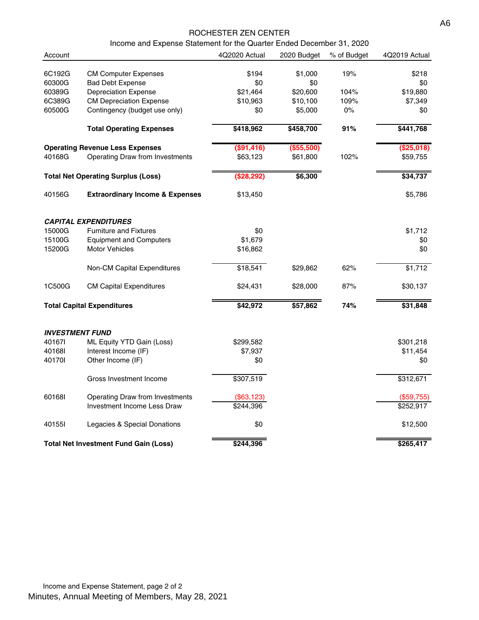#### ROCHESTER ZEN CENTER

Income and Expense Statement for the Quarter Ended December 31, 2020

| Account                |                                              | 4Q2020 Actual | 2020 Budget | % of Budget | 4Q2019 Actual |
|------------------------|----------------------------------------------|---------------|-------------|-------------|---------------|
| 6C192G                 | <b>CM Computer Expenses</b>                  | \$194         | \$1,000     | 19%         | \$218         |
| 60300G                 | <b>Bad Debt Expense</b>                      | \$0           | \$0         |             | \$0           |
| 60389G                 | <b>Depreciation Expense</b>                  | \$21,464      | \$20,600    | 104%        | \$19,880      |
| 6C389G                 | <b>CM Depreciation Expense</b>               | \$10,963      | \$10,100    | 109%        | \$7,349       |
| 60500G                 | Contingency (budget use only)                | \$0           | \$5,000     | $0\%$       | \$0           |
|                        | <b>Total Operating Expenses</b>              | \$418,962     | \$458,700   | 91%         | \$441,768     |
|                        | <b>Operating Revenue Less Expenses</b>       | (\$91,416)    | (\$55,500)  |             | (\$25,018)    |
| 40168G                 | Operating Draw from Investments              | \$63,123      | \$61,800    | 102%        | \$59,755      |
|                        | <b>Total Net Operating Surplus (Loss)</b>    | (\$28,292)    | \$6,300     |             | \$34,737      |
| 40156G                 | <b>Extraordinary Income &amp; Expenses</b>   | \$13,450      |             |             | \$5,786       |
|                        | <b>CAPITAL EXPENDITURES</b>                  |               |             |             |               |
| 15000G                 | <b>Furniture and Fixtures</b>                | \$0           |             |             | \$1,712       |
| 15100G                 | <b>Equipment and Computers</b>               | \$1,679       |             |             | \$0           |
| 15200G                 | <b>Motor Vehicles</b>                        | \$16,862      |             |             | \$0           |
|                        | Non-CM Capital Expenditures                  | \$18,541      | \$29,862    | 62%         | \$1,712       |
| 1C500G                 | <b>CM Capital Expenditures</b>               | \$24,431      | \$28,000    | 87%         | \$30,137      |
|                        | <b>Total Capital Expenditures</b>            | \$42,972      | \$57,862    | 74%         | \$31,848      |
| <b>INVESTMENT FUND</b> |                                              |               |             |             |               |
| 401671                 | ML Equity YTD Gain (Loss)                    | \$299,582     |             |             | \$301,218     |
| 401681                 | Interest Income (IF)                         | \$7,937       |             |             | \$11,454      |
| 401701                 | Other Income (IF)                            | \$0           |             |             | \$0           |
|                        | Gross Investment Income                      | \$307,519     |             |             | \$312,671     |
| 601681                 | Operating Draw from Investments              | (\$63,123)    |             |             | (\$59,755)    |
|                        | Investment Income Less Draw                  | \$244,396     |             |             | \$252,917     |
| 40155I                 | Legacies & Special Donations                 | \$0           |             |             | \$12,500      |
|                        | <b>Total Net Investment Fund Gain (Loss)</b> | \$244,396     |             |             | \$265,417     |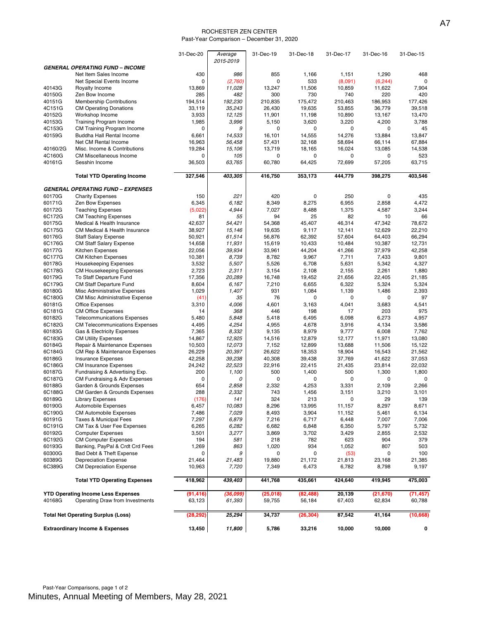#### ROCHESTER ZEN CENTER Past-Year Comparison – December 31, 2020

|                  |                                                                             | 31-Dec-20       | Average          | 31-Dec-19        | 31-Dec-18        | 31-Dec-17        | 31-Dec-16        | 31-Dec-15        |
|------------------|-----------------------------------------------------------------------------|-----------------|------------------|------------------|------------------|------------------|------------------|------------------|
|                  | <b>GENERAL OPERATING FUND - INCOME</b>                                      |                 | 2015-2019        |                  |                  |                  |                  |                  |
|                  | Net Item Sales Income                                                       | 430             | 986              | 855              | 1,166            | 1,151            | 1,290            | 468              |
|                  | Net Special Events Income                                                   | 0               | (2,760)          | 0                | 533              | (8,091)          | (6, 244)         | $\Omega$         |
| 40143G           | Royalty Income                                                              | 13,869          | 11,028           | 13,247           | 11,506           | 10,859           | 11,622           | 7,904            |
| 40150G           | Zen Bow Income                                                              | 285             | 482              | 300              | 730              | 740              | 220              | 420              |
| 40151G           | <b>Membership Contributions</b>                                             | 194,514         | 192,230          | 210,835          | 175,472          | 210,463          | 186,953          | 177,426          |
| 4C151G<br>40152G | <b>CM Operating Donations</b><br>Workshop Income                            | 33,119<br>3,933 | 35,243<br>12,125 | 26,430<br>11,901 | 19,635<br>11,198 | 53,855<br>10,890 | 36,779<br>13,167 | 39,518<br>13,470 |
| 40153G           | Training Program Income                                                     | 1,985           | 3,996            | 5,150            | 3,620            | 3,220            | 4,200            | 3,788            |
| 4C153G           | CM Training Program Income                                                  | 0               | 9                | $\mathbf 0$      | $\mathbf 0$      | 0                | 0                | 45               |
| 40159G           | Buddha Hall Rental Income                                                   | 6,661           | 14,533           | 16.101           | 14,555           | 14,276           | 13,884           | 13,847           |
|                  | Net CM Rental Income                                                        | 16,963          | 56,458           | 57,431           | 32,168           | 58,694           | 66,114           | 67,884           |
| 40160/2G         | Misc. Income & Contributions                                                | 19,284          | 15,106           | 13,719           | 18,165           | 16,024           | 13,085           | 14,538           |
| 4C160G<br>40161G | <b>CM Miscellaneous Income</b><br>Sesshin Income                            | 0<br>36,503     | 105<br>63,765    | 0<br>60,780      | 0<br>64,425      | 0<br>72,699      | 0<br>57,205      | 523<br>63,715    |
|                  |                                                                             |                 |                  |                  |                  |                  |                  |                  |
|                  | <b>Total YTD Operating Income</b>                                           | 327,546         | 403,305          | 416,750          | 353,173          | 444,779          | 398,275          | 403,546          |
|                  | <b>GENERAL OPERATING FUND - EXPENSES</b>                                    |                 |                  |                  |                  |                  |                  |                  |
| 60170G           | <b>Charity Expenses</b>                                                     | 150             | 221              | 420              | $\mathbf 0$      | 250              | 0                | 435              |
| 60171G           | Zen Bow Expenses                                                            | 6,345           | 6,182            | 8,349            | 8,275            | 6,955            | 2,858            | 4,472            |
| 60172G           | <b>Teaching Expenses</b>                                                    | (5,022)         | 4,944            | 7,027            | 8,488            | 1,375            | 4,587            | 3,244            |
| 6C172G<br>60175G | <b>CM Teaching Expenses</b><br>Medical & Health Insurance                   | 81<br>42,637    | 55<br>54,421     | 94<br>54.368     | 25<br>45.407     | 82<br>46,314     | 10<br>47,342     | 66<br>78,672     |
| 6C175G           | CM Medical & Health Insurance                                               | 38,927          | 15.146           | 19,635           | 9,117            | 12,141           | 12,629           | 22,210           |
| 60176G           | <b>Staff Salary Expense</b>                                                 | 50,921          | 61,514           | 56,876           | 62,392           | 57,604           | 64,403           | 66,294           |
| 6C176G           | CM Staff Salary Expense                                                     | 14,658          | 11,931           | 15,619           | 10,433           | 10,484           | 10,387           | 12,731           |
| 60177G           | Kitchen Expenses                                                            | 22,056          | 39,934           | 33,961           | 44,204           | 41,266           | 37,979           | 42,258           |
| 6C177G           | <b>CM Kitchen Expenses</b>                                                  | 10,381          | 8,739            | 8,782            | 9,967            | 7,711            | 7,433            | 9,801            |
| 60178G<br>6C178G | <b>Housekeeping Expenses</b>                                                | 3,532           | 5,507            | 5,526            | 6,708            | 5,631            | 5,342            | 4,327            |
| 60179G           | <b>CM Housekeeping Expenses</b><br>To Staff Departure Fund                  | 2,723<br>17,356 | 2,311<br>20,289  | 3,154<br>16,748  | 2,108<br>19,452  | 2,155<br>21,656  | 2,261<br>22,405  | 1,880<br>21,185  |
| 6C179G           | CM Staff Departure Fund                                                     | 8,604           | 6,167            | 7,210            | 6,655            | 6,322            | 5,324            | 5,324            |
| 60180G           | Misc Administrative Expenses                                                | 1,029           | 1,407            | 931              | 1,084            | 1,139            | 1,486            | 2,393            |
| 6C180G           | <b>CM Misc Administrative Expense</b>                                       | (41)            | 35               | 76               | 0                | 0                | 0                | 97               |
| 60181G           | <b>Office Expenses</b>                                                      | 3,310           | 4,006            | 4,601            | 3,163            | 4,041            | 3,683            | 4,541            |
| 6C181G           | <b>CM Office Expenses</b>                                                   | 14              | 368              | 446              | 198              | 17               | 203              | 975              |
| 60182G<br>6C182G | <b>Telecommunications Expenses</b><br><b>CM Telecommunications Expenses</b> | 5,480<br>4,495  | 5,848<br>4,254   | 5,418<br>4,955   | 6,495<br>4,678   | 6,098<br>3,916   | 6,273<br>4,134   | 4,957<br>3,586   |
| 60183G           | Gas & Electricity Expenses                                                  | 7,365           | 8,332            | 9,135            | 8,979            | 9,777            | 6,008            | 7,762            |
| 6C183G           | <b>CM Utility Expenses</b>                                                  | 14,867          | 12,925           | 14,516           | 12,879           | 12,177           | 11,971           | 13,080           |
| 60184G           | Repair & Maintenance Expenses                                               | 10,503          | 12,073           | 7,152            | 12,899           | 13,688           | 11,506           | 15,122           |
| 6C184G           | <b>CM Rep &amp; Maintenance Expenses</b>                                    | 26,229          | 20,397           | 26,622           | 18,353           | 18,904           | 16,543           | 21,562           |
| 60186G           | <b>Insurance Expenses</b>                                                   | 42,258          | 39,238           | 40,308           | 39,438           | 37,769           | 41,622           | 37,053           |
| 6C186G<br>60187G | <b>CM Insurance Expenses</b><br>Fundraising & Advertising Exp.              | 24,242<br>200   | 22,523<br>1,100  | 22,916<br>500    | 22,415<br>1,400  | 21,435<br>500    | 23,814<br>1,300  | 22,032<br>1,800  |
| 6C187G           | CM Fundraising & Adv Expenses                                               | 0               | 0                | $\mathbf 0$      | 0                | 0                | 0                | 0                |
| 60188G           | Garden & Grounds Expenses                                                   | 654             | 2,858            | 2,332            | 4,253            | 3,331            | 2,109            | 2,266            |
| 6C188G           | CM Garden & Grounds Expenses                                                | 288             | 2,332            | 743              | 1,456            | 3,151            | 3,210            | 3,101            |
| 60189G           | <b>Library Expenses</b>                                                     | (176)           | 141              | 324              | 213              | 0                | 29               | 139              |
| 60190G           | Automobile Expenses                                                         | 6,457           | 10,083           | 8,296            | 13,995           | 11,157           | 8,297            | 8,671            |
| 6C190G<br>60191G | <b>CM Automobile Expenses</b><br><b>Taxes &amp; Municipal Fees</b>          | 7,486<br>7,297  | 7,029<br>6,879   | 8,493            | 3,904<br>6,717   | 11,152           | 5,461<br>7,007   | 6,134<br>7,006   |
| 6C191G           | CM Tax & User Fee Expenses                                                  | 6,265           | 6,282            | 7,216<br>6,682   | 6,848            | 6,448<br>6,350   | 5,797            | 5,732            |
| 60192G           | <b>Computer Expenses</b>                                                    | 3,501           | 3,277            | 3,869            | 3,702            | 3,429            | 2,855            | 2,532            |
| 6C192G           | <b>CM Computer Expenses</b>                                                 | 194             | 581              | 218              | 782              | 623              | 904              | 379              |
| 60193G           | Banking, PayPal & Crdt Crd Fees                                             | 1,269           | 863              | 1,020            | 934              | 1,052            | 807              | 503              |
| 60300G           | Bad Debt & Theft Expense                                                    | 0               | 9                | $\mathbf 0$      | 0                | (53)             | 0                | 100              |
| 60389G           | <b>Depreciation Expense</b>                                                 | 21,464          | 21,483           | 19,880           | 21,172           | 21,813           | 23,168           | 21,385           |
| 6C389G           | <b>CM Depreciation Expense</b>                                              | 10,963          | 7,720            | 7,349            | 6,473            | 6,782            | 8,798            | 9,197            |
|                  | <b>Total YTD Operating Expenses</b>                                         | 418,962         | 439,403          | 441,768          | 435,661          | 424,640          | 419,945          | 475,003          |
|                  | <b>YTD Operating Income Less Expenses</b>                                   | (91, 416)       | (36,099)         | (25,018)         | (82, 488)        | 20,139           | (21, 670)        | (71, 457)        |
| 40168G           | Operating Draw from Investments                                             | 63,123          | 61,393           | 59,755           | 56,184           | 67,403           | 62,834           | 60,788           |
|                  | <b>Total Net Operating Surplus (Loss)</b>                                   | (28, 292)       | 25,294           | 34,737           | (26, 304)        | 87,542           | 41,164           | (10,668)         |
|                  | <b>Extraordinary Income &amp; Expenses</b>                                  | 13,450          | 11,800           | 5,786            | 33,216           | 10,000           | 10,000           | 0                |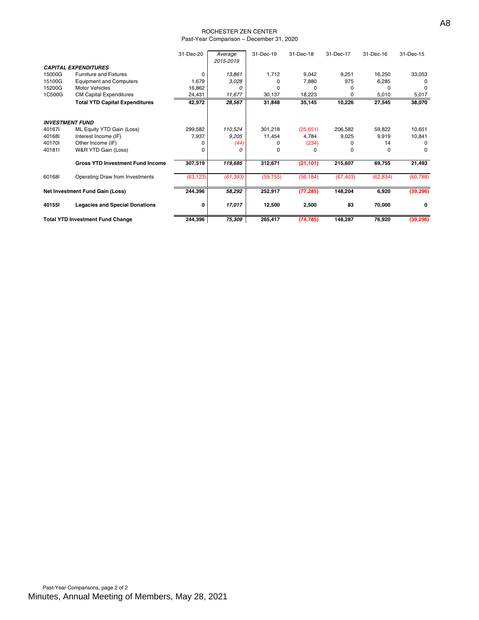#### ROCHESTER ZEN CENTER Past-Year Comparison – December 31, 2020

|                        |                                         | 31-Dec-20 | Average<br>2015-2019 | 31-Dec-19 | 31-Dec-18 | 31-Dec-17 | 31-Dec-16 | 31-Dec-15 |
|------------------------|-----------------------------------------|-----------|----------------------|-----------|-----------|-----------|-----------|-----------|
|                        | <b>CAPITAL EXPENDITURES</b>             |           |                      |           |           |           |           |           |
| 15000G                 | <b>Furniture and Fixtures</b>           | $\Omega$  | 13,861               | 1,712     | 9,042     | 9,251     | 16,250    | 33,053    |
| 15100G                 | <b>Equipment and Computers</b>          | 1,679     | 3,028                |           | 7,880     | 975       | 6,285     |           |
| 15200G                 | <b>Motor Vehicles</b>                   | 16,862    | Ω                    |           | n         |           |           |           |
| 1C500G                 | <b>CM Capital Expenditures</b>          | 24,431    | 11,677               | 30,137    | 18,223    | 0         | 5,010     | 5,017     |
|                        | <b>Total YTD Capital Expenditures</b>   | 42,972    | 28,567               | 31,848    | 35,145    | 10,226    | 27,545    | 38,070    |
| <b>INVESTMENT FUND</b> |                                         |           |                      |           |           |           |           |           |
| 401671                 | ML Equity YTD Gain (Loss)               | 299,582   | 110,524              | 301,218   | (25,651)  | 206,582   | 59,822    | 10,651    |
| 401681                 | Interest Income (IF)                    | 7,937     | 9,205                | 11,454    | 4,784     | 9,025     | 9,919     | 10,841    |
| 401701                 | Other Income (IF)                       |           | (44)                 |           | (234)     |           | 14        |           |
| 401811                 | W&R YTD Gain (Loss)                     |           | O                    |           | $\Omega$  | $\Omega$  | O         | $\Omega$  |
|                        | <b>Gross YTD Investment Fund Income</b> | 307,519   | 119,685              | 312,671   | (21, 101) | 215,607   | 69,755    | 21,493    |
| 601681                 | Operating Draw from Investments         | (63, 123) | (61, 393)            | (59, 755) | (56, 184) | (67, 403) | (62, 834) | (60, 788) |
|                        | Net Investment Fund Gain (Loss)         | 244,396   | 58,292               | 252,917   | (77, 285) | 148,204   | 6,920     | (39, 296) |
| 40155I                 | <b>Legacies and Special Donations</b>   | 0         | 17,017               | 12,500    | 2,500     | 83        | 70,000    | 0         |
|                        | <b>Total YTD Investment Fund Change</b> | 244,396   | 75,309               | 265,417   | (74, 785) | 148,287   | 76,920    | (39, 296) |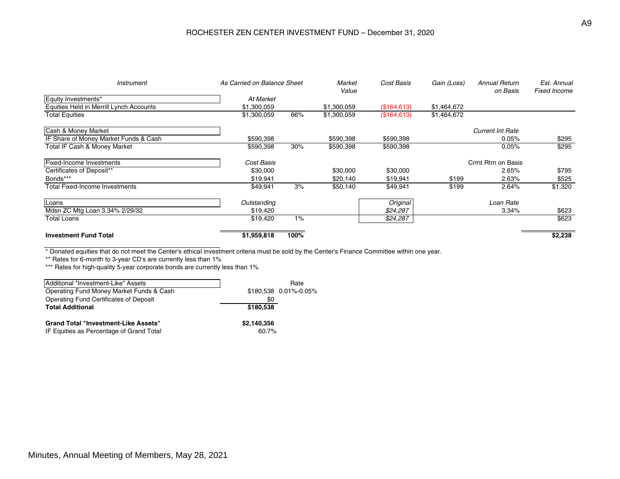### ROCHESTER ZEN CENTER INVESTMENT FUND – December 31, 2020

| <i><b>Instrument</b></i>                | As Carried on Balance Sheet |       | Market<br>Value | Cost Basis   | Gain (Loss)         | <b>Annual Return</b><br>on Basis | Est. Annual<br><b>Fixed Income</b> |
|-----------------------------------------|-----------------------------|-------|-----------------|--------------|---------------------|----------------------------------|------------------------------------|
| Equity Investments*                     | At Market                   |       |                 |              |                     |                                  |                                    |
| Equities Held in Merrill Lynch Accounts | \$1,300,059                 |       | \$1,300,059     | (\$164.613)  | \$1,464,672         |                                  |                                    |
| <b>Total Equities</b>                   | \$1,300,059                 | 66%   | \$1,300,059     | (\$164, 613) | \$1,464,672         |                                  |                                    |
| Cash & Money Market                     |                             |       |                 |              |                     | <b>Current Int Rate</b>          |                                    |
| IF Share of Money Market Funds & Cash   | \$590,398                   |       | \$590,398       | \$590,398    |                     | 0.05%                            | \$295                              |
| Total IF Cash & Money Market            | \$590,398                   | 30%   | \$590,398       | \$590,398    |                     | 0.05%                            | \$295                              |
| <b>Fixed-Income Investments</b>         | Cost Basis                  |       |                 |              | Crrnt Rtrn on Basis |                                  |                                    |
| Certificates of Deposit**               | \$30,000                    |       | \$30,000        | \$30,000     |                     | 2.65%                            | \$795                              |
| Bonds***                                | \$19,941                    |       | \$20,140        | \$19,941     | \$199               | 2.63%                            | \$525                              |
| <b>Total Fixed-Income Investments</b>   | \$49,941                    | 3%    | \$50,140        | \$49,941     | \$199               | 2.64%                            | \$1,320                            |
| Loans                                   | Outstanding                 |       |                 | Original     |                     | Loan Rate                        |                                    |
| Mdsn ZC Mtg Loan 3.34% 2/29/32          | \$19,420                    |       |                 | \$24,287     |                     | 3.34%                            | \$623                              |
| <b>Total Loans</b>                      | \$19,420                    | $1\%$ |                 | \$24,287     |                     |                                  | \$623                              |
| <b>Investment Fund Total</b>            | \$1,959,818                 | 100%  |                 |              |                     |                                  | \$2,238                            |

\* Donated equities that do not meet the Center's ethical investment criteria must be sold by the Center's Finance Committee within one year.

\*\* Rates for 6-month to 3-year CD's are currently less than 1%

\*\*\* Rates for high-quality 5-year corporate bonds are currently less than 1%

| Additional "Investment-Like" Assets         |             | Rate                   |
|---------------------------------------------|-------------|------------------------|
| Operating Fund Money Market Funds & Cash    |             | $$180.538$ 0.01%-0.05% |
| Operating Fund Certificates of Deposit      | \$0         |                        |
| <b>Total Additional</b>                     | \$180,538   |                        |
| <b>Grand Total "Investment-Like Assets"</b> | \$2,140,356 |                        |
| IF Equities as Percentage of Grand Total    | 60.7%       |                        |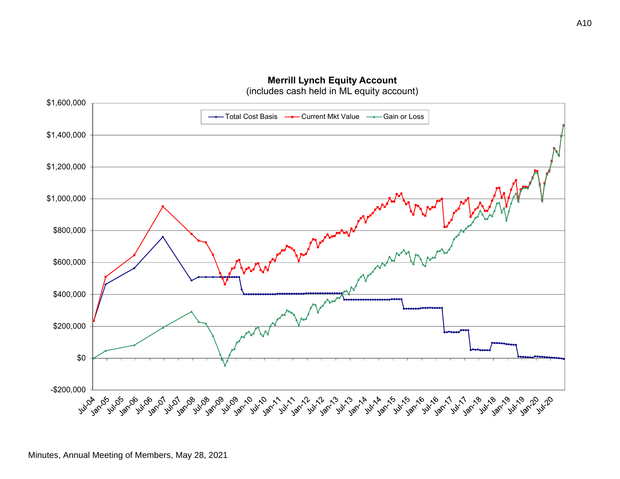

**Merrill Lynch Equity Account**

(includes cash held in ML equity account)

Minutes, Annual Meeting of Members, May 28, 2021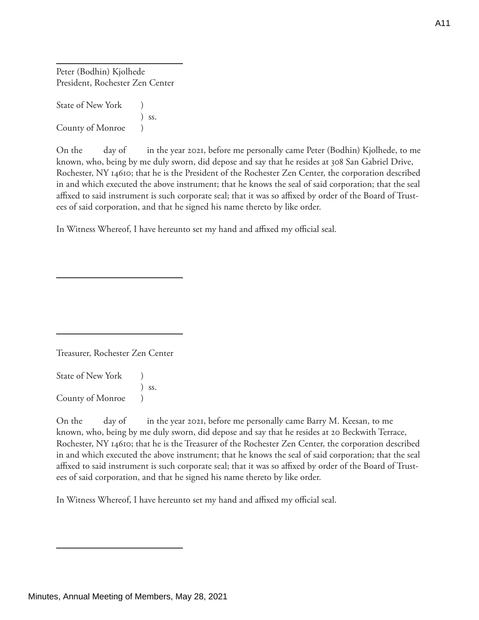Peter (Bodhin) Kjolhede President, Rochester Zen Center

State of New York <sup>1</sup> ) ss. County of Monroe )

On the day of in the year 2021, before me personally came Peter (Bodhin) Kjolhede, to me known, who, being by me duly sworn, did depose and say that he resides at 308 San Gabriel Drive, Rochester, NY 14610; that he is the President of the Rochester Zen Center, the corporation described in and which executed the above instrument; that he knows the seal of said corporation; that the seal affixed to said instrument is such corporate seal; that it was so affixed by order of the Board of Trustees of said corporation, and that he signed his name thereto by like order.

In Witness Whereof, I have hereunto set my hand and affixed my official seal.

Treasurer, Rochester Zen Center

State of New York (1) ) ss. County of Monroe )

On the day of in the year 2021, before me personally came Barry M. Keesan, to me known, who, being by me duly sworn, did depose and say that he resides at 20 Beckwith Terrace, Rochester, NY 14610; that he is the Treasurer of the Rochester Zen Center, the corporation described in and which executed the above instrument; that he knows the seal of said corporation; that the seal affixed to said instrument is such corporate seal; that it was so affixed by order of the Board of Trustees of said corporation, and that he signed his name thereto by like order.

In Witness Whereof, I have hereunto set my hand and affixed my official seal.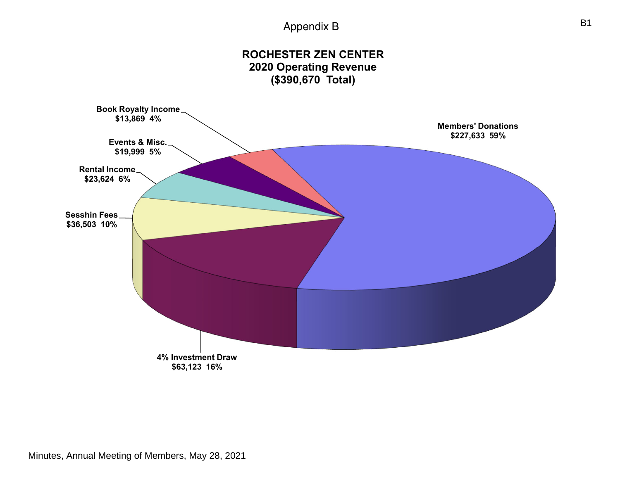## Appendix B



Minutes, Annual Meeting of Members, May 28, 2021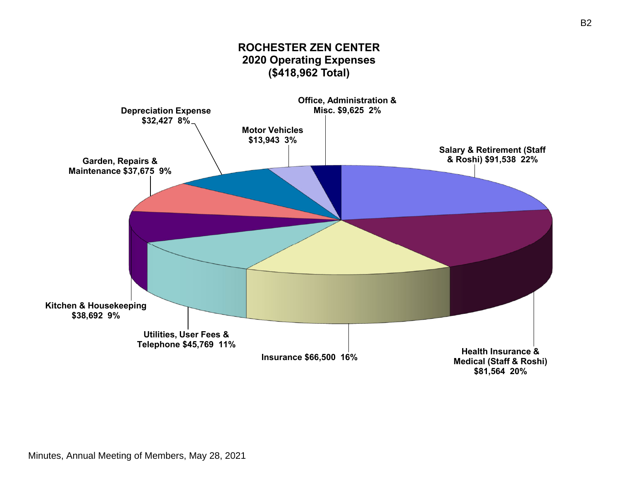